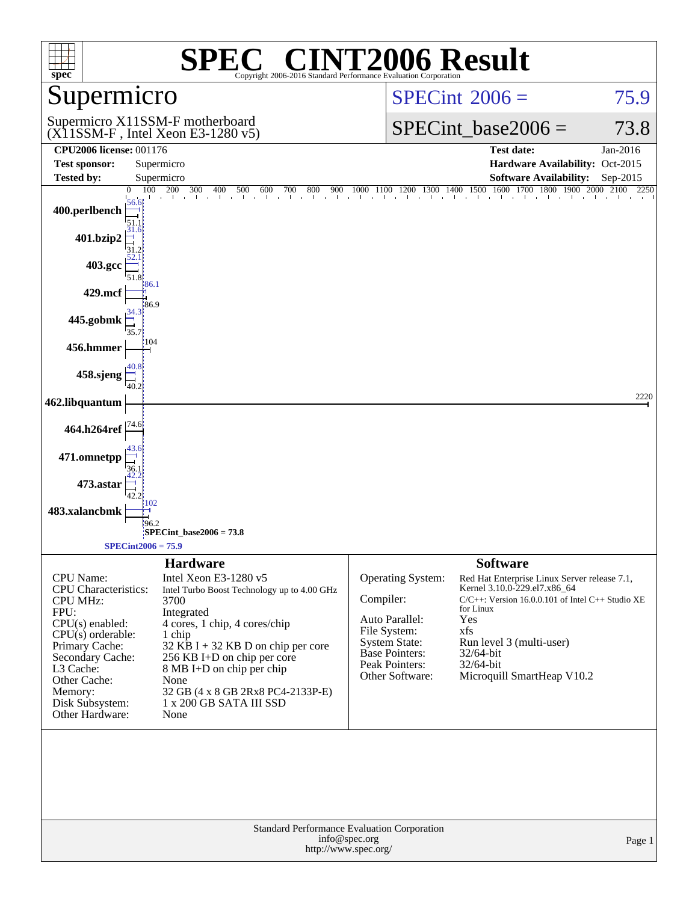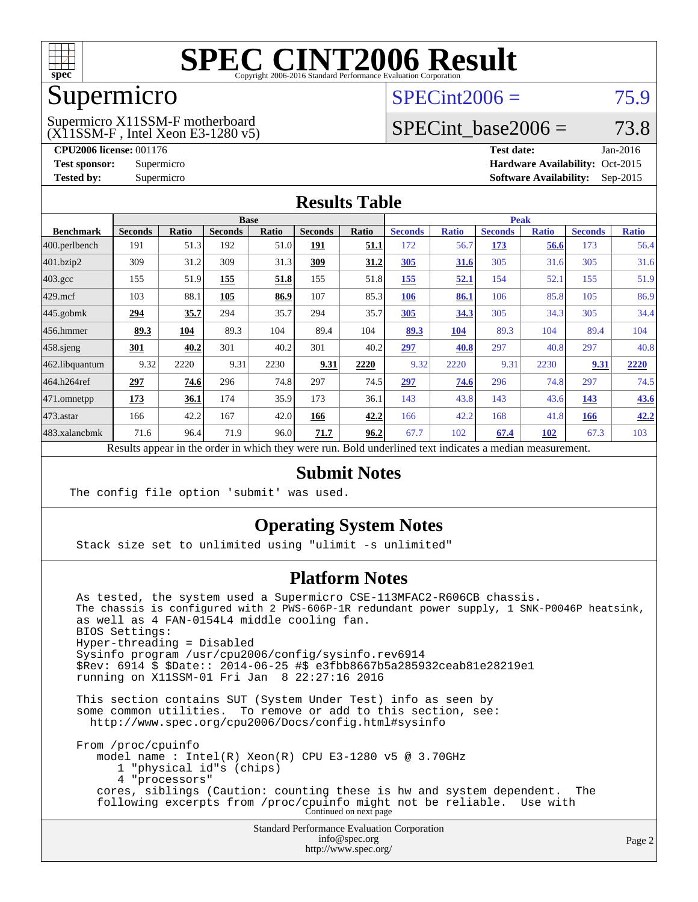

### Supermicro

### $SPECint2006 = 75.9$  $SPECint2006 = 75.9$

(X11SSM-F , Intel Xeon E3-1280 v5) Supermicro X11SSM-F motherboard

SPECint base2006 =  $73.8$ 

**[CPU2006 license:](http://www.spec.org/auto/cpu2006/Docs/result-fields.html#CPU2006license)** 001176 **[Test date:](http://www.spec.org/auto/cpu2006/Docs/result-fields.html#Testdate)** Jan-2016 **[Test sponsor:](http://www.spec.org/auto/cpu2006/Docs/result-fields.html#Testsponsor)** Supermicro Supermicro **[Hardware Availability:](http://www.spec.org/auto/cpu2006/Docs/result-fields.html#HardwareAvailability)** Oct-2015 **[Tested by:](http://www.spec.org/auto/cpu2006/Docs/result-fields.html#Testedby)** Supermicro **Supermicro [Software Availability:](http://www.spec.org/auto/cpu2006/Docs/result-fields.html#SoftwareAvailability)** Sep-2015

### **[Results Table](http://www.spec.org/auto/cpu2006/Docs/result-fields.html#ResultsTable)**

|                                                                                                          | <b>Base</b>    |       |                |       |                |       |                | <b>Peak</b>  |                |              |                |              |  |
|----------------------------------------------------------------------------------------------------------|----------------|-------|----------------|-------|----------------|-------|----------------|--------------|----------------|--------------|----------------|--------------|--|
| <b>Benchmark</b>                                                                                         | <b>Seconds</b> | Ratio | <b>Seconds</b> | Ratio | <b>Seconds</b> | Ratio | <b>Seconds</b> | <b>Ratio</b> | <b>Seconds</b> | <b>Ratio</b> | <b>Seconds</b> | <b>Ratio</b> |  |
| 400.perlbench                                                                                            | 191            | 51.3  | 192            | 51.0  | <u>191</u>     | 51.1  | 172            | 56.7         | <u>173</u>     | 56.6         | 173            | 56.4         |  |
| 401.bzip2                                                                                                | 309            | 31.2  | 309            | 31.3  | 309            | 31.2  | 305            | 31.6         | 305            | 31.6         | 305            | 31.6         |  |
| $403.\mathrm{gcc}$                                                                                       | 155            | 51.9  | 155            | 51.8  | 155            | 51.8  | 155            | 52.1         | 154            | 52.1         | 155            | 51.9         |  |
| $429$ .mcf                                                                                               | 103            | 88.1  | 105            | 86.9  | 107            | 85.3  | 106            | 86.1         | 106            | 85.8         | 105            | 86.9         |  |
| $445$ .gobmk                                                                                             | 294            | 35.7  | 294            | 35.7  | 294            | 35.7  | 305            | 34.3         | 305            | 34.3         | 305            | 34.4         |  |
| $456.$ hmmer                                                                                             | 89.3           | 104   | 89.3           | 104   | 89.4           | 104   | 89.3           | 104          | 89.3           | 104          | 89.4           | 104          |  |
| $458$ .sjeng                                                                                             | 301            | 40.2  | 301            | 40.2  | 301            | 40.2  | 297            | 40.8         | 297            | 40.8         | 297            | 40.8         |  |
| 462.libquantum                                                                                           | 9.32           | 2220  | 9.31           | 2230  | 9.31           | 2220  | 9.32           | 2220         | 9.31           | 2230         | 9.31           | 2220         |  |
| 464.h264ref                                                                                              | 297            | 74.6  | 296            | 74.8  | 297            | 74.5  | 297            | 74.6         | 296            | 74.8         | 297            | 74.5         |  |
| $ 471$ .omnetpp                                                                                          | 173            | 36.1  | 174            | 35.9  | 173            | 36.1  | 143            | 43.8         | 143            | 43.6         | 143            | 43.6         |  |
| $473$ . astar                                                                                            | 166            | 42.2  | 167            | 42.0  | 166            | 42.2  | 166            | 42.2         | 168            | 41.8         | 166            | 42.2         |  |
| 483.xalancbmk                                                                                            | 71.6           | 96.4  | 71.9           | 96.0  | 71.7           | 96.2  | 67.7           | 102          | 67.4           | 102          | 67.3           | 103          |  |
| Results appear in the order in which they were run. Bold underlined text indicates a median measurement. |                |       |                |       |                |       |                |              |                |              |                |              |  |

### **[Submit Notes](http://www.spec.org/auto/cpu2006/Docs/result-fields.html#SubmitNotes)**

The config file option 'submit' was used.

### **[Operating System Notes](http://www.spec.org/auto/cpu2006/Docs/result-fields.html#OperatingSystemNotes)**

Stack size set to unlimited using "ulimit -s unlimited"

### **[Platform Notes](http://www.spec.org/auto/cpu2006/Docs/result-fields.html#PlatformNotes)**

 As tested, the system used a Supermicro CSE-113MFAC2-R606CB chassis. The chassis is configured with 2  $\bar{P}WS-606P-1R$  redundant power supply, 1 SNK-P0046P heatsink, as well as 4 FAN-0154L4 middle cooling fan. BIOS Settings: Hyper-threading = Disabled Sysinfo program /usr/cpu2006/config/sysinfo.rev6914 \$Rev: 6914 \$ \$Date:: 2014-06-25 #\$ e3fbb8667b5a285932ceab81e28219e1 running on X11SSM-01 Fri Jan 8 22:27:16 2016 This section contains SUT (System Under Test) info as seen by some common utilities. To remove or add to this section, see: <http://www.spec.org/cpu2006/Docs/config.html#sysinfo> From /proc/cpuinfo model name : Intel(R) Xeon(R) CPU E3-1280 v5 @ 3.70GHz 1 "physical id"s (chips)

4 "processors"

 cores, siblings (Caution: counting these is hw and system dependent. The following excerpts from /proc/cpuinfo might not be reliable. Use with Continued on next page

> Standard Performance Evaluation Corporation [info@spec.org](mailto:info@spec.org) <http://www.spec.org/>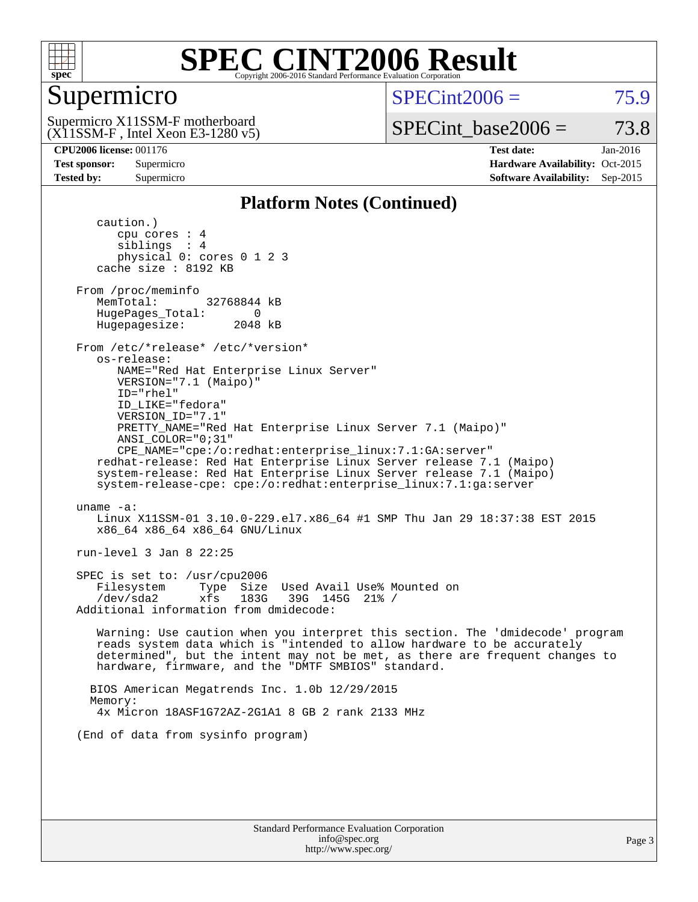

### Supermicro

 $SPECint2006 = 75.9$  $SPECint2006 = 75.9$ 

(X11SSM-F , Intel Xeon E3-1280 v5) Supermicro X11SSM-F motherboard

SPECint base2006 =  $73.8$ 

**[CPU2006 license:](http://www.spec.org/auto/cpu2006/Docs/result-fields.html#CPU2006license)** 001176 **[Test date:](http://www.spec.org/auto/cpu2006/Docs/result-fields.html#Testdate)** Jan-2016 **[Test sponsor:](http://www.spec.org/auto/cpu2006/Docs/result-fields.html#Testsponsor)** Supermicro Supermicro **[Hardware Availability:](http://www.spec.org/auto/cpu2006/Docs/result-fields.html#HardwareAvailability)** Oct-2015 **[Tested by:](http://www.spec.org/auto/cpu2006/Docs/result-fields.html#Testedby)** Supermicro **Supermicro [Software Availability:](http://www.spec.org/auto/cpu2006/Docs/result-fields.html#SoftwareAvailability)** Sep-2015

### **[Platform Notes \(Continued\)](http://www.spec.org/auto/cpu2006/Docs/result-fields.html#PlatformNotes)**

 caution.) cpu cores : 4 siblings : 4 physical 0: cores 0 1 2 3 cache size : 8192 KB From /proc/meminfo MemTotal: 32768844 kB HugePages\_Total: 0<br>Hugepagesize: 2048 kB Hugepagesize: From /etc/\*release\* /etc/\*version\* os-release: NAME="Red Hat Enterprise Linux Server" VERSION="7.1 (Maipo)" ID="rhel" ID\_LIKE="fedora" VERSION\_ID="7.1" PRETTY\_NAME="Red Hat Enterprise Linux Server 7.1 (Maipo)" ANSI\_COLOR="0;31" CPE\_NAME="cpe:/o:redhat:enterprise\_linux:7.1:GA:server" redhat-release: Red Hat Enterprise Linux Server release 7.1 (Maipo) system-release: Red Hat Enterprise Linux Server release 7.1 (Maipo) system-release-cpe: cpe:/o:redhat:enterprise\_linux:7.1:ga:server uname -a: Linux X11SSM-01 3.10.0-229.el7.x86\_64 #1 SMP Thu Jan 29 18:37:38 EST 2015 x86\_64 x86\_64 x86\_64 GNU/Linux run-level 3 Jan 8 22:25 SPEC is set to: /usr/cpu2006 Filesystem Type Size Used Avail Use% Mounted on /dev/sda2 xfs 183G 39G 145G 21% / Additional information from dmidecode: Warning: Use caution when you interpret this section. The 'dmidecode' program reads system data which is "intended to allow hardware to be accurately determined", but the intent may not be met, as there are frequent changes to hardware, firmware, and the "DMTF SMBIOS" standard. BIOS American Megatrends Inc. 1.0b 12/29/2015 Memory: 4x Micron 18ASF1G72AZ-2G1A1 8 GB 2 rank 2133 MHz (End of data from sysinfo program)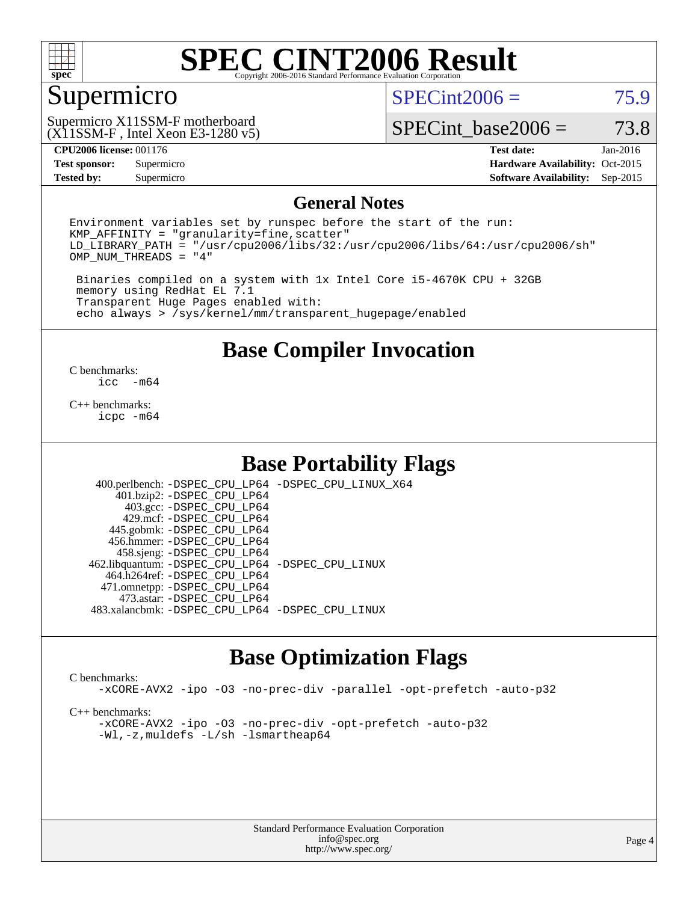

### Supermicro

 $SPECint2006 = 75.9$  $SPECint2006 = 75.9$ 

(X11SSM-F , Intel Xeon E3-1280 v5) Supermicro X11SSM-F motherboard

SPECint base2006 =  $73.8$ 

### **[CPU2006 license:](http://www.spec.org/auto/cpu2006/Docs/result-fields.html#CPU2006license)** 001176 **[Test date:](http://www.spec.org/auto/cpu2006/Docs/result-fields.html#Testdate)** Jan-2016

**[Test sponsor:](http://www.spec.org/auto/cpu2006/Docs/result-fields.html#Testsponsor)** Supermicro Supermicro **[Hardware Availability:](http://www.spec.org/auto/cpu2006/Docs/result-fields.html#HardwareAvailability)** Oct-2015 **[Tested by:](http://www.spec.org/auto/cpu2006/Docs/result-fields.html#Testedby)** Supermicro **Supermicro [Software Availability:](http://www.spec.org/auto/cpu2006/Docs/result-fields.html#SoftwareAvailability)** Sep-2015

### **[General Notes](http://www.spec.org/auto/cpu2006/Docs/result-fields.html#GeneralNotes)**

Environment variables set by runspec before the start of the run:  $KMP$  AFFINITY = "granularity=fine, scatter" LD\_LIBRARY\_PATH = "/usr/cpu2006/libs/32:/usr/cpu2006/libs/64:/usr/cpu2006/sh" OMP\_NUM\_THREADS = "4"

 Binaries compiled on a system with 1x Intel Core i5-4670K CPU + 32GB memory using RedHat EL 7.1 Transparent Huge Pages enabled with: echo always > /sys/kernel/mm/transparent\_hugepage/enabled

### **[Base Compiler Invocation](http://www.spec.org/auto/cpu2006/Docs/result-fields.html#BaseCompilerInvocation)**

 $\frac{C \text{ benchmarks:}}{C \text{ C}}$ -m64

[C++ benchmarks:](http://www.spec.org/auto/cpu2006/Docs/result-fields.html#CXXbenchmarks) [icpc -m64](http://www.spec.org/cpu2006/results/res2016q1/cpu2006-20160120-38739.flags.html#user_CXXbase_intel_icpc_64bit_fc66a5337ce925472a5c54ad6a0de310)

### **[Base Portability Flags](http://www.spec.org/auto/cpu2006/Docs/result-fields.html#BasePortabilityFlags)**

 400.perlbench: [-DSPEC\\_CPU\\_LP64](http://www.spec.org/cpu2006/results/res2016q1/cpu2006-20160120-38739.flags.html#b400.perlbench_basePORTABILITY_DSPEC_CPU_LP64) [-DSPEC\\_CPU\\_LINUX\\_X64](http://www.spec.org/cpu2006/results/res2016q1/cpu2006-20160120-38739.flags.html#b400.perlbench_baseCPORTABILITY_DSPEC_CPU_LINUX_X64) 401.bzip2: [-DSPEC\\_CPU\\_LP64](http://www.spec.org/cpu2006/results/res2016q1/cpu2006-20160120-38739.flags.html#suite_basePORTABILITY401_bzip2_DSPEC_CPU_LP64) 403.gcc: [-DSPEC\\_CPU\\_LP64](http://www.spec.org/cpu2006/results/res2016q1/cpu2006-20160120-38739.flags.html#suite_basePORTABILITY403_gcc_DSPEC_CPU_LP64) 429.mcf: [-DSPEC\\_CPU\\_LP64](http://www.spec.org/cpu2006/results/res2016q1/cpu2006-20160120-38739.flags.html#suite_basePORTABILITY429_mcf_DSPEC_CPU_LP64) 445.gobmk: [-DSPEC\\_CPU\\_LP64](http://www.spec.org/cpu2006/results/res2016q1/cpu2006-20160120-38739.flags.html#suite_basePORTABILITY445_gobmk_DSPEC_CPU_LP64) 456.hmmer: [-DSPEC\\_CPU\\_LP64](http://www.spec.org/cpu2006/results/res2016q1/cpu2006-20160120-38739.flags.html#suite_basePORTABILITY456_hmmer_DSPEC_CPU_LP64) 458.sjeng: [-DSPEC\\_CPU\\_LP64](http://www.spec.org/cpu2006/results/res2016q1/cpu2006-20160120-38739.flags.html#suite_basePORTABILITY458_sjeng_DSPEC_CPU_LP64) 462.libquantum: [-DSPEC\\_CPU\\_LP64](http://www.spec.org/cpu2006/results/res2016q1/cpu2006-20160120-38739.flags.html#suite_basePORTABILITY462_libquantum_DSPEC_CPU_LP64) [-DSPEC\\_CPU\\_LINUX](http://www.spec.org/cpu2006/results/res2016q1/cpu2006-20160120-38739.flags.html#b462.libquantum_baseCPORTABILITY_DSPEC_CPU_LINUX) 464.h264ref: [-DSPEC\\_CPU\\_LP64](http://www.spec.org/cpu2006/results/res2016q1/cpu2006-20160120-38739.flags.html#suite_basePORTABILITY464_h264ref_DSPEC_CPU_LP64) 471.omnetpp: [-DSPEC\\_CPU\\_LP64](http://www.spec.org/cpu2006/results/res2016q1/cpu2006-20160120-38739.flags.html#suite_basePORTABILITY471_omnetpp_DSPEC_CPU_LP64) 473.astar: [-DSPEC\\_CPU\\_LP64](http://www.spec.org/cpu2006/results/res2016q1/cpu2006-20160120-38739.flags.html#suite_basePORTABILITY473_astar_DSPEC_CPU_LP64) 483.xalancbmk: [-DSPEC\\_CPU\\_LP64](http://www.spec.org/cpu2006/results/res2016q1/cpu2006-20160120-38739.flags.html#suite_basePORTABILITY483_xalancbmk_DSPEC_CPU_LP64) [-DSPEC\\_CPU\\_LINUX](http://www.spec.org/cpu2006/results/res2016q1/cpu2006-20160120-38739.flags.html#b483.xalancbmk_baseCXXPORTABILITY_DSPEC_CPU_LINUX)

### **[Base Optimization Flags](http://www.spec.org/auto/cpu2006/Docs/result-fields.html#BaseOptimizationFlags)**

### [C benchmarks](http://www.spec.org/auto/cpu2006/Docs/result-fields.html#Cbenchmarks):

[-xCORE-AVX2](http://www.spec.org/cpu2006/results/res2016q1/cpu2006-20160120-38739.flags.html#user_CCbase_f-xAVX2_5f5fc0cbe2c9f62c816d3e45806c70d7) [-ipo](http://www.spec.org/cpu2006/results/res2016q1/cpu2006-20160120-38739.flags.html#user_CCbase_f-ipo) [-O3](http://www.spec.org/cpu2006/results/res2016q1/cpu2006-20160120-38739.flags.html#user_CCbase_f-O3) [-no-prec-div](http://www.spec.org/cpu2006/results/res2016q1/cpu2006-20160120-38739.flags.html#user_CCbase_f-no-prec-div) [-parallel](http://www.spec.org/cpu2006/results/res2016q1/cpu2006-20160120-38739.flags.html#user_CCbase_f-parallel) [-opt-prefetch](http://www.spec.org/cpu2006/results/res2016q1/cpu2006-20160120-38739.flags.html#user_CCbase_f-opt-prefetch) [-auto-p32](http://www.spec.org/cpu2006/results/res2016q1/cpu2006-20160120-38739.flags.html#user_CCbase_f-auto-p32)

[C++ benchmarks:](http://www.spec.org/auto/cpu2006/Docs/result-fields.html#CXXbenchmarks)

[-xCORE-AVX2](http://www.spec.org/cpu2006/results/res2016q1/cpu2006-20160120-38739.flags.html#user_CXXbase_f-xAVX2_5f5fc0cbe2c9f62c816d3e45806c70d7) [-ipo](http://www.spec.org/cpu2006/results/res2016q1/cpu2006-20160120-38739.flags.html#user_CXXbase_f-ipo) [-O3](http://www.spec.org/cpu2006/results/res2016q1/cpu2006-20160120-38739.flags.html#user_CXXbase_f-O3) [-no-prec-div](http://www.spec.org/cpu2006/results/res2016q1/cpu2006-20160120-38739.flags.html#user_CXXbase_f-no-prec-div) [-opt-prefetch](http://www.spec.org/cpu2006/results/res2016q1/cpu2006-20160120-38739.flags.html#user_CXXbase_f-opt-prefetch) [-auto-p32](http://www.spec.org/cpu2006/results/res2016q1/cpu2006-20160120-38739.flags.html#user_CXXbase_f-auto-p32) [-Wl,-z,muldefs](http://www.spec.org/cpu2006/results/res2016q1/cpu2006-20160120-38739.flags.html#user_CXXbase_link_force_multiple1_74079c344b956b9658436fd1b6dd3a8a) [-L/sh -lsmartheap64](http://www.spec.org/cpu2006/results/res2016q1/cpu2006-20160120-38739.flags.html#user_CXXbase_SmartHeap64_ed4ef857ce90951921efb0d91eb88472)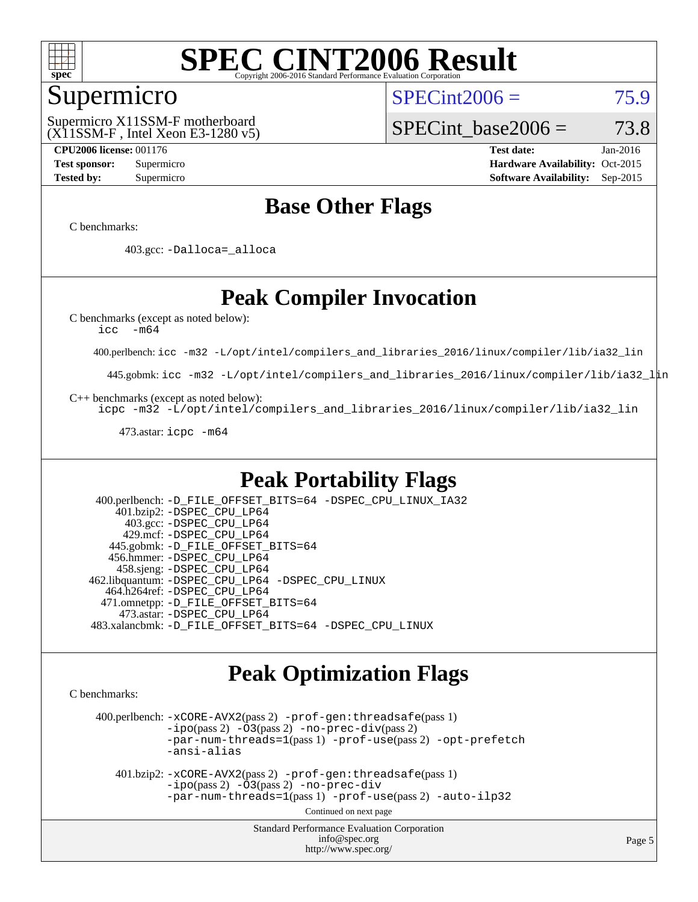

### Supermicro

 $SPECint2006 = 75.9$  $SPECint2006 = 75.9$ 

(X11SSM-F , Intel Xeon E3-1280 v5) Supermicro X11SSM-F motherboard

SPECint base2006 =  $73.8$ 

**[CPU2006 license:](http://www.spec.org/auto/cpu2006/Docs/result-fields.html#CPU2006license)** 001176 **[Test date:](http://www.spec.org/auto/cpu2006/Docs/result-fields.html#Testdate)** Jan-2016 **[Test sponsor:](http://www.spec.org/auto/cpu2006/Docs/result-fields.html#Testsponsor)** Supermicro Supermicro **[Hardware Availability:](http://www.spec.org/auto/cpu2006/Docs/result-fields.html#HardwareAvailability)** Oct-2015 **[Tested by:](http://www.spec.org/auto/cpu2006/Docs/result-fields.html#Testedby)** Supermicro **Supermicro [Software Availability:](http://www.spec.org/auto/cpu2006/Docs/result-fields.html#SoftwareAvailability)** Sep-2015

### **[Base Other Flags](http://www.spec.org/auto/cpu2006/Docs/result-fields.html#BaseOtherFlags)**

[C benchmarks](http://www.spec.org/auto/cpu2006/Docs/result-fields.html#Cbenchmarks):

403.gcc: [-Dalloca=\\_alloca](http://www.spec.org/cpu2006/results/res2016q1/cpu2006-20160120-38739.flags.html#b403.gcc_baseEXTRA_CFLAGS_Dalloca_be3056838c12de2578596ca5467af7f3)

### **[Peak Compiler Invocation](http://www.spec.org/auto/cpu2006/Docs/result-fields.html#PeakCompilerInvocation)**

[C benchmarks \(except as noted below\)](http://www.spec.org/auto/cpu2006/Docs/result-fields.html#Cbenchmarksexceptasnotedbelow):

[icc -m64](http://www.spec.org/cpu2006/results/res2016q1/cpu2006-20160120-38739.flags.html#user_CCpeak_intel_icc_64bit_f346026e86af2a669e726fe758c88044)

400.perlbench: [icc -m32 -L/opt/intel/compilers\\_and\\_libraries\\_2016/linux/compiler/lib/ia32\\_lin](http://www.spec.org/cpu2006/results/res2016q1/cpu2006-20160120-38739.flags.html#user_peakCCLD400_perlbench_intel_icc_e10256ba5924b668798078a321b0cb3f)

445.gobmk: [icc -m32 -L/opt/intel/compilers\\_and\\_libraries\\_2016/linux/compiler/lib/ia32\\_lin](http://www.spec.org/cpu2006/results/res2016q1/cpu2006-20160120-38739.flags.html#user_peakCCLD445_gobmk_intel_icc_e10256ba5924b668798078a321b0cb3f)

[C++ benchmarks \(except as noted below\):](http://www.spec.org/auto/cpu2006/Docs/result-fields.html#CXXbenchmarksexceptasnotedbelow)

[icpc -m32 -L/opt/intel/compilers\\_and\\_libraries\\_2016/linux/compiler/lib/ia32\\_lin](http://www.spec.org/cpu2006/results/res2016q1/cpu2006-20160120-38739.flags.html#user_CXXpeak_intel_icpc_b4f50a394bdb4597aa5879c16bc3f5c5)

473.astar: [icpc -m64](http://www.spec.org/cpu2006/results/res2016q1/cpu2006-20160120-38739.flags.html#user_peakCXXLD473_astar_intel_icpc_64bit_fc66a5337ce925472a5c54ad6a0de310)

### **[Peak Portability Flags](http://www.spec.org/auto/cpu2006/Docs/result-fields.html#PeakPortabilityFlags)**

 400.perlbench: [-D\\_FILE\\_OFFSET\\_BITS=64](http://www.spec.org/cpu2006/results/res2016q1/cpu2006-20160120-38739.flags.html#user_peakPORTABILITY400_perlbench_file_offset_bits_64_438cf9856305ebd76870a2c6dc2689ab) [-DSPEC\\_CPU\\_LINUX\\_IA32](http://www.spec.org/cpu2006/results/res2016q1/cpu2006-20160120-38739.flags.html#b400.perlbench_peakCPORTABILITY_DSPEC_CPU_LINUX_IA32) 401.bzip2: [-DSPEC\\_CPU\\_LP64](http://www.spec.org/cpu2006/results/res2016q1/cpu2006-20160120-38739.flags.html#suite_peakPORTABILITY401_bzip2_DSPEC_CPU_LP64) 403.gcc: [-DSPEC\\_CPU\\_LP64](http://www.spec.org/cpu2006/results/res2016q1/cpu2006-20160120-38739.flags.html#suite_peakPORTABILITY403_gcc_DSPEC_CPU_LP64) 429.mcf: [-DSPEC\\_CPU\\_LP64](http://www.spec.org/cpu2006/results/res2016q1/cpu2006-20160120-38739.flags.html#suite_peakPORTABILITY429_mcf_DSPEC_CPU_LP64) 445.gobmk: [-D\\_FILE\\_OFFSET\\_BITS=64](http://www.spec.org/cpu2006/results/res2016q1/cpu2006-20160120-38739.flags.html#user_peakPORTABILITY445_gobmk_file_offset_bits_64_438cf9856305ebd76870a2c6dc2689ab) 456.hmmer: [-DSPEC\\_CPU\\_LP64](http://www.spec.org/cpu2006/results/res2016q1/cpu2006-20160120-38739.flags.html#suite_peakPORTABILITY456_hmmer_DSPEC_CPU_LP64) 458.sjeng: [-DSPEC\\_CPU\\_LP64](http://www.spec.org/cpu2006/results/res2016q1/cpu2006-20160120-38739.flags.html#suite_peakPORTABILITY458_sjeng_DSPEC_CPU_LP64) 462.libquantum: [-DSPEC\\_CPU\\_LP64](http://www.spec.org/cpu2006/results/res2016q1/cpu2006-20160120-38739.flags.html#suite_peakPORTABILITY462_libquantum_DSPEC_CPU_LP64) [-DSPEC\\_CPU\\_LINUX](http://www.spec.org/cpu2006/results/res2016q1/cpu2006-20160120-38739.flags.html#b462.libquantum_peakCPORTABILITY_DSPEC_CPU_LINUX) 464.h264ref: [-DSPEC\\_CPU\\_LP64](http://www.spec.org/cpu2006/results/res2016q1/cpu2006-20160120-38739.flags.html#suite_peakPORTABILITY464_h264ref_DSPEC_CPU_LP64) 471.omnetpp: [-D\\_FILE\\_OFFSET\\_BITS=64](http://www.spec.org/cpu2006/results/res2016q1/cpu2006-20160120-38739.flags.html#user_peakPORTABILITY471_omnetpp_file_offset_bits_64_438cf9856305ebd76870a2c6dc2689ab) 473.astar: [-DSPEC\\_CPU\\_LP64](http://www.spec.org/cpu2006/results/res2016q1/cpu2006-20160120-38739.flags.html#suite_peakPORTABILITY473_astar_DSPEC_CPU_LP64) 483.xalancbmk: [-D\\_FILE\\_OFFSET\\_BITS=64](http://www.spec.org/cpu2006/results/res2016q1/cpu2006-20160120-38739.flags.html#user_peakPORTABILITY483_xalancbmk_file_offset_bits_64_438cf9856305ebd76870a2c6dc2689ab) [-DSPEC\\_CPU\\_LINUX](http://www.spec.org/cpu2006/results/res2016q1/cpu2006-20160120-38739.flags.html#b483.xalancbmk_peakCXXPORTABILITY_DSPEC_CPU_LINUX)

### **[Peak Optimization Flags](http://www.spec.org/auto/cpu2006/Docs/result-fields.html#PeakOptimizationFlags)**

[C benchmarks](http://www.spec.org/auto/cpu2006/Docs/result-fields.html#Cbenchmarks):

 400.perlbench: [-xCORE-AVX2](http://www.spec.org/cpu2006/results/res2016q1/cpu2006-20160120-38739.flags.html#user_peakPASS2_CFLAGSPASS2_LDCFLAGS400_perlbench_f-xAVX2_5f5fc0cbe2c9f62c816d3e45806c70d7)(pass 2) [-prof-gen:threadsafe](http://www.spec.org/cpu2006/results/res2016q1/cpu2006-20160120-38739.flags.html#user_peakPASS1_CFLAGSPASS1_LDCFLAGS400_perlbench_prof_gen_21a26eb79f378b550acd7bec9fe4467a)(pass 1)  $-i\text{po}(pass 2) -\tilde{O}3(pass 2)$  [-no-prec-div](http://www.spec.org/cpu2006/results/res2016q1/cpu2006-20160120-38739.flags.html#user_peakPASS2_CFLAGSPASS2_LDCFLAGS400_perlbench_f-no-prec-div)(pass 2) [-par-num-threads=1](http://www.spec.org/cpu2006/results/res2016q1/cpu2006-20160120-38739.flags.html#user_peakPASS1_CFLAGSPASS1_LDCFLAGS400_perlbench_par_num_threads_786a6ff141b4e9e90432e998842df6c2)(pass 1) [-prof-use](http://www.spec.org/cpu2006/results/res2016q1/cpu2006-20160120-38739.flags.html#user_peakPASS2_CFLAGSPASS2_LDCFLAGS400_perlbench_prof_use_bccf7792157ff70d64e32fe3e1250b55)(pass 2) [-opt-prefetch](http://www.spec.org/cpu2006/results/res2016q1/cpu2006-20160120-38739.flags.html#user_peakCOPTIMIZE400_perlbench_f-opt-prefetch) [-ansi-alias](http://www.spec.org/cpu2006/results/res2016q1/cpu2006-20160120-38739.flags.html#user_peakCOPTIMIZE400_perlbench_f-ansi-alias)

 401.bzip2: [-xCORE-AVX2](http://www.spec.org/cpu2006/results/res2016q1/cpu2006-20160120-38739.flags.html#user_peakPASS2_CFLAGSPASS2_LDCFLAGS401_bzip2_f-xAVX2_5f5fc0cbe2c9f62c816d3e45806c70d7)(pass 2) [-prof-gen:threadsafe](http://www.spec.org/cpu2006/results/res2016q1/cpu2006-20160120-38739.flags.html#user_peakPASS1_CFLAGSPASS1_LDCFLAGS401_bzip2_prof_gen_21a26eb79f378b550acd7bec9fe4467a)(pass 1)  $-i\text{po}(pass 2) -\overline{O}3(pass 2)$  [-no-prec-div](http://www.spec.org/cpu2006/results/res2016q1/cpu2006-20160120-38739.flags.html#user_peakCOPTIMIZEPASS2_CFLAGSPASS2_LDCFLAGS401_bzip2_f-no-prec-div) [-par-num-threads=1](http://www.spec.org/cpu2006/results/res2016q1/cpu2006-20160120-38739.flags.html#user_peakPASS1_CFLAGSPASS1_LDCFLAGS401_bzip2_par_num_threads_786a6ff141b4e9e90432e998842df6c2)(pass 1) [-prof-use](http://www.spec.org/cpu2006/results/res2016q1/cpu2006-20160120-38739.flags.html#user_peakPASS2_CFLAGSPASS2_LDCFLAGS401_bzip2_prof_use_bccf7792157ff70d64e32fe3e1250b55)(pass 2) [-auto-ilp32](http://www.spec.org/cpu2006/results/res2016q1/cpu2006-20160120-38739.flags.html#user_peakCOPTIMIZE401_bzip2_f-auto-ilp32)

Continued on next page

Standard Performance Evaluation Corporation [info@spec.org](mailto:info@spec.org) <http://www.spec.org/>

Page 5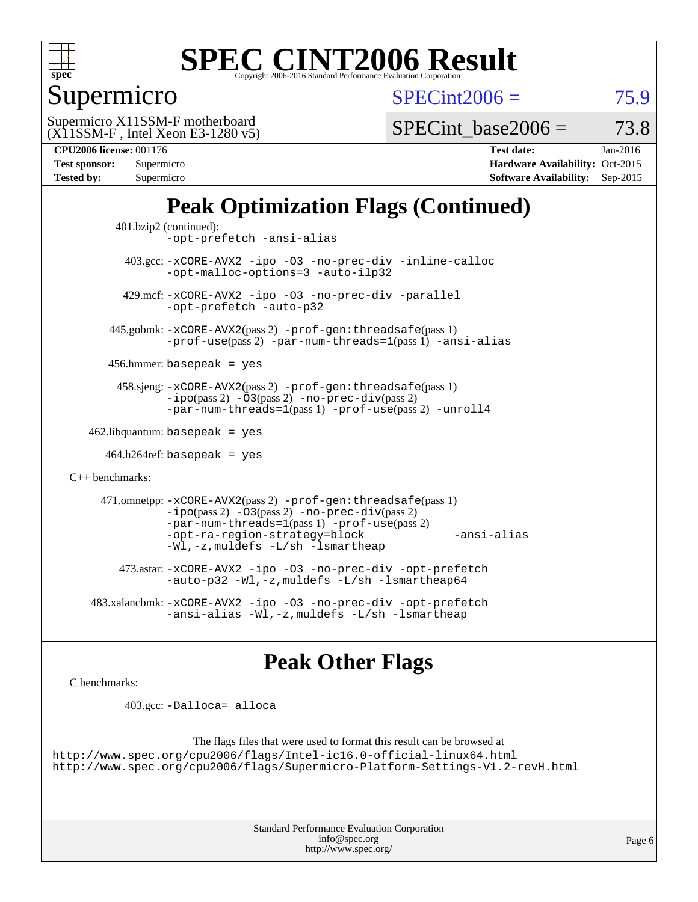

### Supermicro

 $SPECint2006 = 75.9$  $SPECint2006 = 75.9$ 

(X11SSM-F , Intel Xeon E3-1280 v5) Supermicro X11SSM-F motherboard

SPECint base2006 =  $73.8$ 

| Test sponsor:<br><b>Tested by:</b> | Supermicro<br>Supermicro |
|------------------------------------|--------------------------|
|                                    |                          |

**[CPU2006 license:](http://www.spec.org/auto/cpu2006/Docs/result-fields.html#CPU2006license)** 001176 **[Test date:](http://www.spec.org/auto/cpu2006/Docs/result-fields.html#Testdate)** Jan-2016 **[Hardware Availability:](http://www.spec.org/auto/cpu2006/Docs/result-fields.html#HardwareAvailability)** Oct-2015 **[Software Availability:](http://www.spec.org/auto/cpu2006/Docs/result-fields.html#SoftwareAvailability)** Sep-2015

### **[Peak Optimization Flags \(Continued\)](http://www.spec.org/auto/cpu2006/Docs/result-fields.html#PeakOptimizationFlags)**

```
 401.bzip2 (continued):
                -opt-prefetch -ansi-alias
          403.gcc: -xCORE-AVX2 -ipo -O3 -no-prec-div -inline-calloc
                -opt-malloc-options=3 -auto-ilp32
         429.mcf: -xCORE-AVX2 -ipo -O3 -no-prec-div -parallel
                -opt-prefetch -auto-p32
       445.gobmk: -xCORE-AVX2(pass 2) -prof-gen:threadsafe(pass 1)
                -prof-use(pass 2) -par-num-threads=1(pass 1) -ansi-alias
       456.hmmer: basepeak = yes
        458.sjeng: -xCORE-AVX2(pass 2) -prof-gen:threadsafe(pass 1)
                -i\text{po}(pass 2) -\tilde{O}3(pass 2)-no-prec-div(pass 2)
                -par-num-threads=1(pass 1) -prof-use(pass 2) -unroll4
   462.libquantum: basepeak = yes
     464.h264ref: basepeak = yes
C++ benchmarks: 
      471.omnetpp: -xCORE-AVX2(pass 2) -prof-gen:threadsafe(pass 1)
                -i\text{po}(pass 2) -03(pass 2) -no-prec-div(pass 2)-par-num-threads=1(pass 1) -prof-use(pass 2)
                -opt-ra-region-strategy=block -ansi-alias
                -Wl,-z,muldefs -L/sh -lsmartheap
         473.astar: -xCORE-AVX2 -ipo -O3 -no-prec-div -opt-prefetch
                -auto-p32 -Wl,-z,muldefs -L/sh -lsmartheap64
    483.xalancbmk: -xCORE-AVX2 -ipo -O3 -no-prec-div -opt-prefetch
                -ansi-alias -Wl,-z,muldefs -L/sh -lsmartheap
```
### **[Peak Other Flags](http://www.spec.org/auto/cpu2006/Docs/result-fields.html#PeakOtherFlags)**

[C benchmarks](http://www.spec.org/auto/cpu2006/Docs/result-fields.html#Cbenchmarks):

403.gcc: [-Dalloca=\\_alloca](http://www.spec.org/cpu2006/results/res2016q1/cpu2006-20160120-38739.flags.html#b403.gcc_peakEXTRA_CFLAGS_Dalloca_be3056838c12de2578596ca5467af7f3)

```
The flags files that were used to format this result can be browsed at
http://www.spec.org/cpu2006/flags/Intel-ic16.0-official-linux64.html
http://www.spec.org/cpu2006/flags/Supermicro-Platform-Settings-V1.2-revH.html
```
Standard Performance Evaluation Corporation [info@spec.org](mailto:info@spec.org) <http://www.spec.org/>